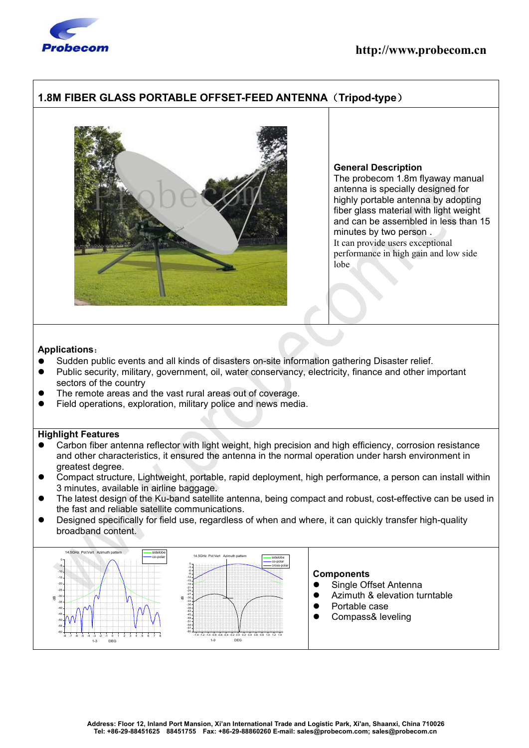

## **http://www.probecom.cn**

## **1.8M FIBER GLASS PORTABLE OFFSET-FEED ANTENNA**(**Tripod-type**)



#### **General Description**

The probecom 1.8m flyaway manual antenna is specially designed for highly portable antenna by adopting fiber glass material with light weight and can be assembled in less than 15 minutes by two person . It can provide users exceptional performance in high gain and low side lobe

#### **Applications**:

- Sudden public events and all kinds of disasters on-site information gathering Disaster relief.
- Public security, military, government, oil, water conservancy, electricity, finance and other important sectors of the country
- The remote areas and the vast rural areas out of coverage.
- Field operations, exploration, military police and news media.

### **Highlight Features**

- Carbon fiber antenna reflector with light weight, high precision and high efficiency, corrosion resistance and other characteristics, it ensured the antenna in the normal operation under harsh environment in greatest degree.
- Compact structure, Lightweight, portable, rapid deployment, high performance, a person can install within 3 minutes, available in airline baggage.
- The latest design of the Ku-band satellite antenna, being compact and robust, cost-effective can be used in the fast and reliable satellite communications.
- Designed specifically for field use, regardless of when and where, it can quickly transfer high-quality broadband content.